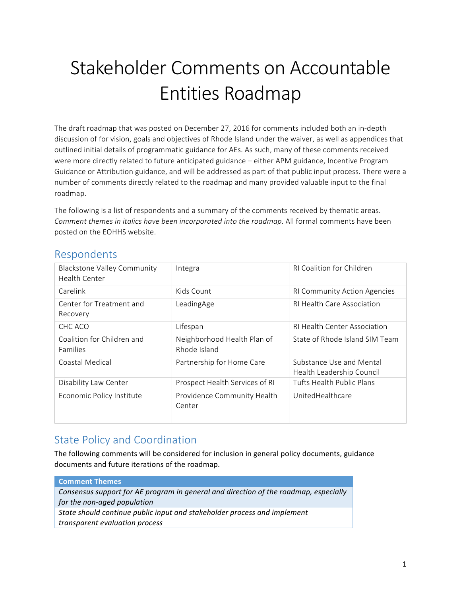# Stakeholder Comments on Accountable Entities Roadmap

The draft roadmap that was posted on December 27, 2016 for comments included both an in-depth discussion of for vision, goals and objectives of Rhode Island under the waiver, as well as appendices that outlined initial details of programmatic guidance for AEs. As such, many of these comments received were more directly related to future anticipated guidance - either APM guidance, Incentive Program Guidance or Attribution guidance, and will be addressed as part of that public input process. There were a number of comments directly related to the roadmap and many provided valuable input to the final roadmap. 

The following is a list of respondents and a summary of the comments received by thematic areas. *Comment themes in italics have been incorporated into the roadmap.* All formal comments have been posted on the EOHHS website.

| <b>Blackstone Valley Community</b><br>Health Center | Integra                                     | <b>RI Coalition for Children</b>                      |
|-----------------------------------------------------|---------------------------------------------|-------------------------------------------------------|
| Carelink                                            | Kids Count                                  | <b>RI Community Action Agencies</b>                   |
| Center for Treatment and<br>Recovery                | LeadingAge                                  | RI Health Care Association                            |
| CHC ACO                                             | Lifespan                                    | <b>RI Health Center Association</b>                   |
| Coalition for Children and<br><b>Families</b>       | Neighborhood Health Plan of<br>Rhode Island | State of Rhode Island SIM Team                        |
| Coastal Medical                                     | Partnership for Home Care                   | Substance Use and Mental<br>Health Leadership Council |
| Disability Law Center                               | Prospect Health Services of RI              | Tufts Health Public Plans                             |
| Economic Policy Institute                           | Providence Community Health<br>Center       | UnitedHealthcare                                      |

#### Respondents

# **State Policy and Coordination**

The following comments will be considered for inclusion in general policy documents, guidance documents and future iterations of the roadmap.

#### **Comment Themes**

*Consensus support for AE program in general and direction of the roadmap, especially for the non-aged population* 

State should continue public input and stakeholder process and implement *transparent evaluation process*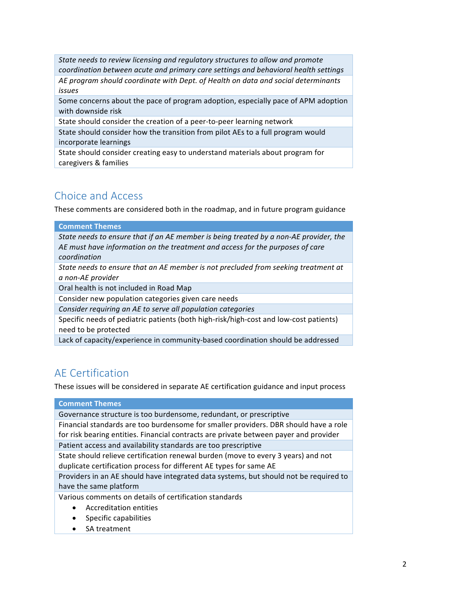*State needs to review licensing and regulatory structures to allow and promote coordination between acute and primary care settings and behavioral health settings* AE program should coordinate with Dept. of Health on data and social determinants *issues*

Some concerns about the pace of program adoption, especially pace of APM adoption with downside risk

State should consider the creation of a peer-to-peer learning network

State should consider how the transition from pilot AEs to a full program would incorporate learnings

State should consider creating easy to understand materials about program for caregivers & families

# Choice and Access

These comments are considered both in the roadmap, and in future program guidance

#### **Comment Themes**

State needs to ensure that if an AE member is being treated by a non-AE provider, the AE must have information on the treatment and access for the purposes of care *coordination*

*State needs to ensure that an AE member is not precluded from seeking treatment at a non-AE provider*

Oral health is not included in Road Map

Consider new population categories given care needs

*Consider requiring an AE to serve all population categories* 

Specific needs of pediatric patients (both high-risk/high-cost and low-cost patients) need to be protected

Lack of capacity/experience in community-based coordination should be addressed

# AE Certification

These issues will be considered in separate AE certification guidance and input process

#### **Comment Themes**

Governance structure is too burdensome, redundant, or prescriptive

Financial standards are too burdensome for smaller providers. DBR should have a role for risk bearing entities. Financial contracts are private between payer and provider

Patient access and availability standards are too prescriptive

State should relieve certification renewal burden (move to every 3 years) and not duplicate certification process for different AE types for same AE

Providers in an AE should have integrated data systems, but should not be required to have the same platform

Various comments on details of certification standards

- Accreditation entities
- Specific capabilities
- SA treatment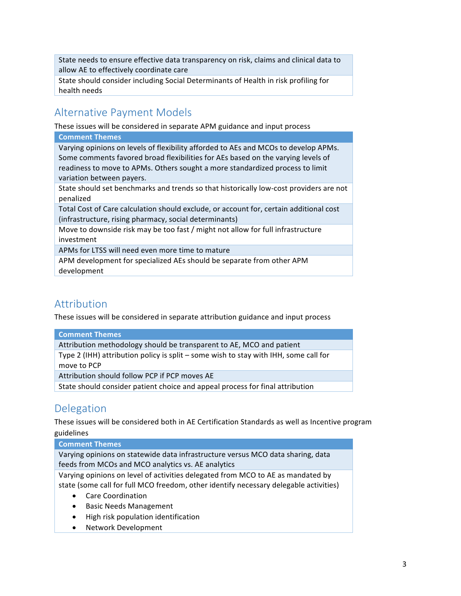State needs to ensure effective data transparency on risk, claims and clinical data to allow AE to effectively coordinate care

State should consider including Social Determinants of Health in risk profiling for health needs

## **Alternative Payment Models**

These issues will be considered in separate APM guidance and input process

#### **Comment Themes**

Varying opinions on levels of flexibility afforded to AEs and MCOs to develop APMs. Some comments favored broad flexibilities for AEs based on the varying levels of readiness to move to APMs. Others sought a more standardized process to limit variation between payers.

State should set benchmarks and trends so that historically low-cost providers are not penalized

Total Cost of Care calculation should exclude, or account for, certain additional cost (infrastructure, rising pharmacy, social determinants)

Move to downside risk may be too fast / might not allow for full infrastructure investment

APMs for LTSS will need even more time to mature

APM development for specialized AEs should be separate from other APM development

## Attribution

These issues will be considered in separate attribution guidance and input process

#### **Comment Themes**

Attribution methodology should be transparent to AE, MCO and patient

Type 2 (IHH) attribution policy is split – some wish to stay with IHH, some call for move to PCP

Attribution should follow PCP if PCP moves AE

State should consider patient choice and appeal process for final attribution

## Delegation

These issues will be considered both in AE Certification Standards as well as Incentive program guidelines 

#### **Comment Themes**

Varying opinions on statewide data infrastructure versus MCO data sharing, data feeds from MCOs and MCO analytics vs. AE analytics

Varying opinions on level of activities delegated from MCO to AE as mandated by state (some call for full MCO freedom, other identify necessary delegable activities)

- Care Coordination
- Basic Needs Management
- High risk population identification
- Network Development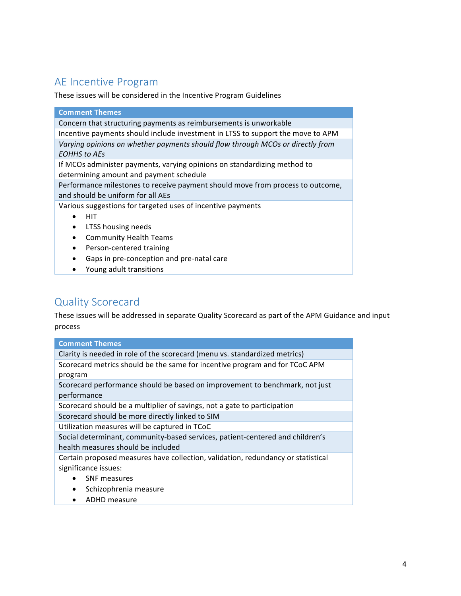# AE Incentive Program

These issues will be considered in the Incentive Program Guidelines

| <b>Comment Themes</b>                                                           |  |  |
|---------------------------------------------------------------------------------|--|--|
| Concern that structuring payments as reimbursements is unworkable               |  |  |
| Incentive payments should include investment in LTSS to support the move to APM |  |  |
| Varying opinions on whether payments should flow through MCOs or directly from  |  |  |
| EOHHS to AEs                                                                    |  |  |
| If MCOs administer payments, varying opinions on standardizing method to        |  |  |
| determining amount and payment schedule                                         |  |  |
| Performance milestones to receive payment should move from process to outcome,  |  |  |
| and should be uniform for all AEs                                               |  |  |
| Various suggestions for targeted uses of incentive payments                     |  |  |
| HIT                                                                             |  |  |
| LTSS housing needs<br>$\bullet$                                                 |  |  |
| <b>Community Health Teams</b><br>$\bullet$                                      |  |  |
| Person-centered training<br>$\bullet$                                           |  |  |
| Gaps in pre-conception and pre-natal care                                       |  |  |

• Young adult transitions

# Quality Scorecard

These issues will be addressed in separate Quality Scorecard as part of the APM Guidance and input process

| <b>Comment Themes</b>                                                            |  |
|----------------------------------------------------------------------------------|--|
| Clarity is needed in role of the scorecard (menu vs. standardized metrics)       |  |
| Scorecard metrics should be the same for incentive program and for TCoC APM      |  |
| program                                                                          |  |
| Scorecard performance should be based on improvement to benchmark, not just      |  |
| performance                                                                      |  |
| Scorecard should be a multiplier of savings, not a gate to participation         |  |
| Scorecard should be more directly linked to SIM                                  |  |
| Utilization measures will be captured in TCoC                                    |  |
| Social determinant, community-based services, patient-centered and children's    |  |
| health measures should be included                                               |  |
| Certain proposed measures have collection, validation, redundancy or statistical |  |
| significance issues:                                                             |  |
| <b>SNF</b> measures                                                              |  |
| Schizophrenia measure<br>$\bullet$                                               |  |
| ADHD measure                                                                     |  |